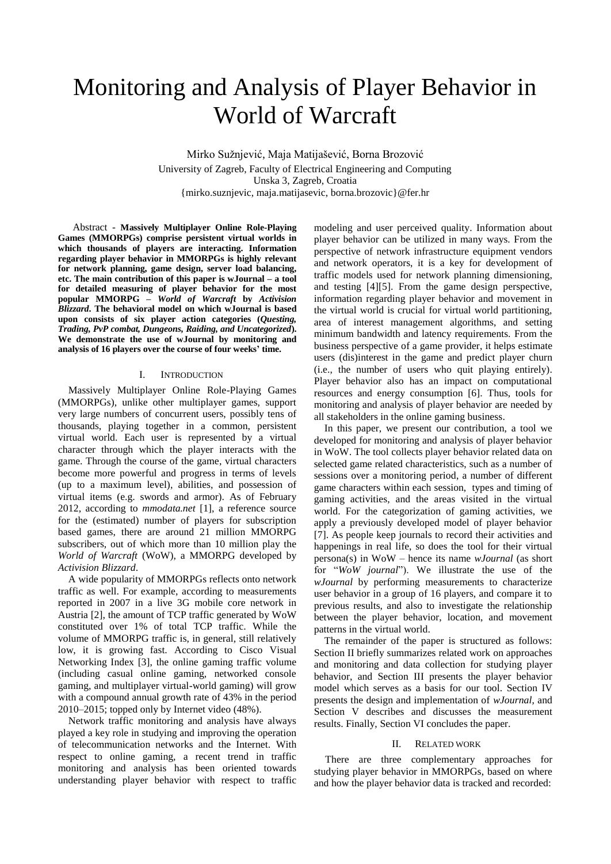# Monitoring and Analysis of Player Behavior in World of Warcraft

Mirko Sužnjević, Maja Matijašević, Borna Brozović University of Zagreb, Faculty of Electrical Engineering and Computing Unska 3, Zagreb, Croatia {mirko.suznjevic, maja.matijasevic, borna.brozovic}@fer.hr

Abstract - **Massively Multiplayer Online Role-Playing Games (MMORPGs) comprise persistent virtual worlds in which thousands of players are interacting. Information regarding player behavior in MMORPGs is highly relevant for network planning, game design, server load balancing, etc. The main contribution of this paper is wJournal – a tool for detailed measuring of player behavior for the most popular MMORPG –** *World of Warcraft* **by** *Activision Blizzard***. The behavioral model on which wJournal is based upon consists of six player action categories (***Questing, Trading, PvP combat, Dungeons, Raiding, and Uncategorized***). We demonstrate the use of wJournal by monitoring and analysis of 16 players over the course of four weeks' time.**

#### I. INTRODUCTION

Massively Multiplayer Online Role-Playing Games (MMORPGs), unlike other multiplayer games, support very large numbers of concurrent users, possibly tens of thousands, playing together in a common, persistent virtual world. Each user is represented by a virtual character through which the player interacts with the game. Through the course of the game, virtual characters become more powerful and progress in terms of levels (up to a maximum level), abilities, and possession of virtual items (e.g. swords and armor). As of February 2012, according to *mmodata.net* [\[1\],](#page-5-0) a reference source for the (estimated) number of players for subscription based games, there are around 21 million MMORPG subscribers, out of which more than 10 million play the *World of Warcraft* (WoW), a MMORPG developed by *Activision Blizzard*.

A wide popularity of MMORPGs reflects onto network traffic as well. For example, according to measurements reported in 2007 in a live 3G mobile core network in Austria [2], the amount of TCP traffic generated by WoW constituted over 1% of total TCP traffic. While the volume of MMORPG traffic is, in general, still relatively low, it is growing fast. According to Cisco Visual Networking Index [\[3\],](#page-5-1) the online gaming traffic volume (including casual online gaming, networked console gaming, and multiplayer virtual-world gaming) will grow with a compound annual growth rate of 43% in the period 2010–2015; topped only by Internet video (48%).

Network traffic monitoring and analysis have always played a key role in studying and improving the operation of telecommunication networks and the Internet. With respect to online gaming, a recent trend in traffic monitoring and analysis has been oriented towards understanding player behavior with respect to traffic modeling and user perceived quality. Information about player behavior can be utilized in many ways. From the perspective of network infrastructure equipment vendors and network operators, it is a key for development of traffic models used for network planning dimensioning, and testing [\[4\]\[5\].](#page-5-2) From the game design perspective, information regarding player behavior and movement in the virtual world is crucial for virtual world partitioning, area of interest management algorithms, and setting minimum bandwidth and latency requirements. From the business perspective of a game provider, it helps estimate users (dis)interest in the game and predict player churn (i.e., the number of users who quit playing entirely). Player behavior also has an impact on computational resources and energy consumption [\[6\].](#page-5-3) Thus, tools for monitoring and analysis of player behavior are needed by all stakeholders in the online gaming business.

In this paper, we present our contribution, a tool we developed for monitoring and analysis of player behavior in WoW. The tool collects player behavior related data on selected game related characteristics, such as a number of sessions over a monitoring period, a number of different game characters within each session, types and timing of gaming activities, and the areas visited in the virtual world. For the categorization of gaming activities, we apply a previously developed model of player behavior [\[7\].](#page-5-4) As people keep journals to record their activities and happenings in real life, so does the tool for their virtual persona(s) in WoW – hence its name *wJournal* (as short for "*WoW journal*"). We illustrate the use of the *wJournal* by performing measurements to characterize user behavior in a group of 16 players, and compare it to previous results, and also to investigate the relationship between the player behavior, location, and movement patterns in the virtual world.

The remainder of the paper is structured as follows: Section II briefly summarizes related work on approaches and monitoring and data collection for studying player behavior, and Section III presents the player behavior model which serves as a basis for our tool. Section IV presents the design and implementation of *wJournal*, and Section V describes and discusses the measurement results. Finally, Section VI concludes the paper.

#### II. RELATED WORK

There are three complementary approaches for studying player behavior in MMORPGs, based on where and how the player behavior data is tracked and recorded: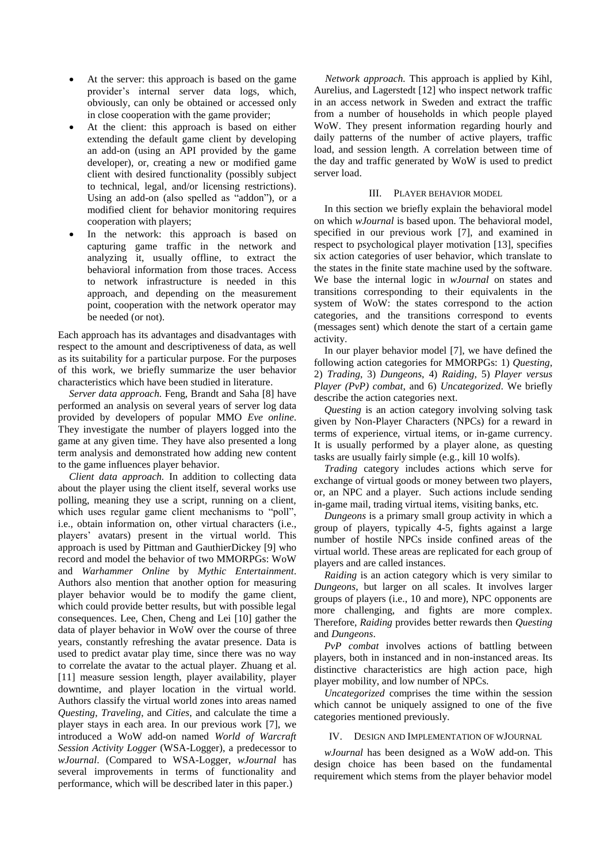- At the server: this approach is based on the game provider's internal server data logs, which, obviously, can only be obtained or accessed only in close cooperation with the game provider;
- At the client: this approach is based on either extending the default game client by developing an add-on (using an API provided by the game developer), or, creating a new or modified game client with desired functionality (possibly subject to technical, legal, and/or licensing restrictions). Using an add-on (also spelled as "addon"), or a modified client for behavior monitoring requires cooperation with players;
- In the network: this approach is based on capturing game traffic in the network and analyzing it, usually offline, to extract the behavioral information from those traces. Access to network infrastructure is needed in this approach, and depending on the measurement point, cooperation with the network operator may be needed (or not).

Each approach has its advantages and disadvantages with respect to the amount and descriptiveness of data, as well as its suitability for a particular purpose. For the purposes of this work, we briefly summarize the user behavior characteristics which have been studied in literature.

*Server data approach.* Feng, Brandt and Saha [\[8\]](#page-5-5) have performed an analysis on several years of server log data provided by developers of popular MMO *Eve online*. They investigate the number of players logged into the game at any given time. They have also presented a long term analysis and demonstrated how adding new content to the game influences player behavior.

*Client data approach.* In addition to collecting data about the player using the client itself, several works use polling, meaning they use a script, running on a client, which uses regular game client mechanisms to "poll". i.e., obtain information on, other virtual characters (i.e., players' avatars) present in the virtual world. This approach is used by Pittman and GauthierDickey [\[9\]](#page-5-6) who record and model the behavior of two MMORPGs: WoW and *Warhammer Online* by *Mythic Entertainment*. Authors also mention that another option for measuring player behavior would be to modify the game client, which could provide better results, but with possible legal consequences. Lee, Chen, Cheng and Lei [\[10\]](#page-5-7) gather the data of player behavior in WoW over the course of three years, constantly refreshing the avatar presence. Data is used to predict avatar play time, since there was no way to correlate the avatar to the actual player. Zhuang et al. [\[11\]](#page-5-8) measure session length, player availability, player downtime, and player location in the virtual world. Authors classify the virtual world zones into areas named *Questing*, *Traveling*, and *Cities*, and calculate the time a player stays in each area. In our previous work [\[7\],](#page-5-4) we introduced a WoW add-on named *World of Warcraft Session Activity Logger* (WSA-Logger), a predecessor to *wJournal*. (Compared to WSA-Logger, *wJournal* has several improvements in terms of functionality and performance, which will be described later in this paper.)

*Network approach.* This approach is applied by Kihl, Aurelius, and Lagerstedt [\[12\]](#page-5-9) who inspect network traffic in an access network in Sweden and extract the traffic from a number of households in which people played WoW. They present information regarding hourly and daily patterns of the number of active players, traffic load, and session length. A correlation between time of the day and traffic generated by WoW is used to predict server load.

#### III. PLAYER BEHAVIOR MODEL

In this section we briefly explain the behavioral model on which *wJournal* is based upon. The behavioral model, specified in our previous work [\[7\],](#page-5-4) and examined in respect to psychological player motivation [\[13\],](#page-5-10) specifies six action categories of user behavior, which translate to the states in the finite state machine used by the software. We base the internal logic in *wJournal* on states and transitions corresponding to their equivalents in the system of WoW: the states correspond to the action categories, and the transitions correspond to events (messages sent) which denote the start of a certain game activity.

In our player behavior model [\[7\],](#page-5-4) we have defined the following action categories for MMORPGs: 1) *Questing*, 2) *Trading*, 3) *Dungeons*, 4) *Raiding*, 5) *Player versus Player (PvP) combat*, and 6) *Uncategorized*. We briefly describe the action categories next.

*Questing* is an action category involving solving task given by Non-Player Characters (NPCs) for a reward in terms of experience, virtual items, or in-game currency. It is usually performed by a player alone, as questing tasks are usually fairly simple (e.g., kill 10 wolfs).

*Trading* category includes actions which serve for exchange of virtual goods or money between two players, or, an NPC and a player. Such actions include sending in-game mail, trading virtual items, visiting banks, etc.

*Dungeons* is a primary small group activity in which a group of players, typically 4-5, fights against a large number of hostile NPCs inside confined areas of the virtual world. These areas are replicated for each group of players and are called instances.

*Raiding* is an action category which is very similar to *Dungeons*, but larger on all scales. It involves larger groups of players (i.e., 10 and more), NPC opponents are more challenging, and fights are more complex. Therefore, *Raiding* provides better rewards then *Questing* and *Dungeons*.

*PvP combat* involves actions of battling between players, both in instanced and in non-instanced areas. Its distinctive characteristics are high action pace, high player mobility, and low number of NPCs.

*Uncategorized* comprises the time within the session which cannot be uniquely assigned to one of the five categories mentioned previously.

## IV. DESIGN AND IMPLEMENTATION OF WJOURNAL

*wJournal* has been designed as a WoW add-on. This design choice has been based on the fundamental requirement which stems from the player behavior model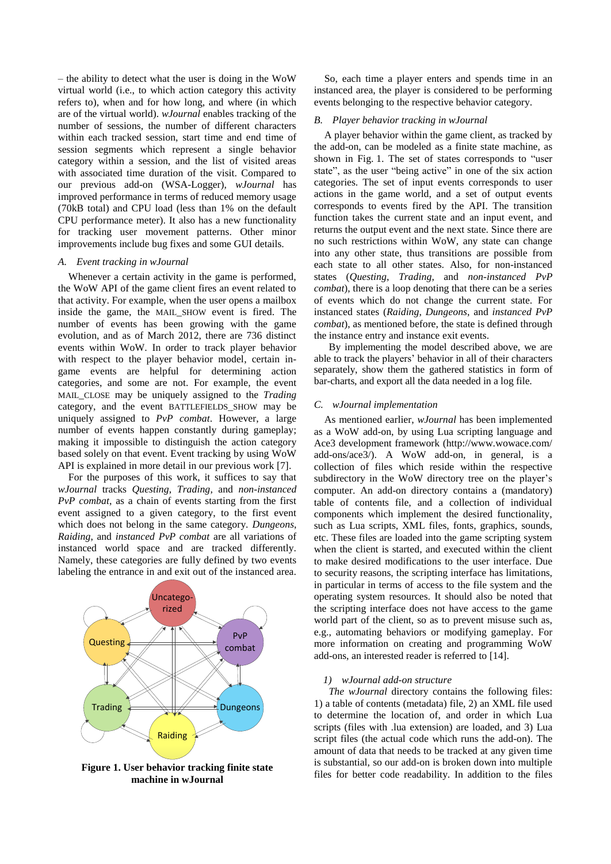– the ability to detect what the user is doing in the WoW virtual world (i.e., to which action category this activity refers to), when and for how long, and where (in which are of the virtual world). *wJournal* enables tracking of the number of sessions, the number of different characters within each tracked session, start time and end time of session segments which represent a single behavior category within a session, and the list of visited areas with associated time duration of the visit. Compared to our previous add-on (WSA-Logger), *wJournal* has improved performance in terms of reduced memory usage (70kB total) and CPU load (less than 1% on the default CPU performance meter). It also has a new functionality for tracking user movement patterns. Other minor improvements include bug fixes and some GUI details.

#### *A. Event tracking in wJournal*

Whenever a certain activity in the game is performed, the WoW API of the game client fires an event related to that activity. For example, when the user opens a mailbox inside the game, the MAIL\_SHOW event is fired. The number of events has been growing with the game evolution, and as of March 2012, there are 736 distinct events within WoW. In order to track player behavior with respect to the player behavior model, certain ingame events are helpful for determining action categories, and some are not. For example, the event MAIL\_CLOSE may be uniquely assigned to the *Trading* category, and the event BATTLEFIELDS\_SHOW may be uniquely assigned to *PvP combat*. However, a large number of events happen constantly during gameplay; making it impossible to distinguish the action category based solely on that event. Event tracking by using WoW API is explained in more detail in our previous work [\[7\].](#page-5-4)

For the purposes of this work, it suffices to say that *wJournal* tracks *Questing*, *Trading*, and *non-instanced PvP combat*, as a chain of events starting from the first event assigned to a given category, to the first event which does not belong in the same category. *Dungeons*, *Raiding*, and *instanced PvP combat* are all variations of instanced world space and are tracked differently. Namely, these categories are fully defined by two events labeling the entrance in and exit out of the instanced area.



**Figure 1. User behavior tracking finite state machine in wJournal**

So, each time a player enters and spends time in an instanced area, the player is considered to be performing events belonging to the respective behavior category.

#### *B. Player behavior tracking in wJournal*

A player behavior within the game client, as tracked by the add-on, can be modeled as a finite state machine, as shown in Fig. 1. The set of states corresponds to "user state", as the user "being active" in one of the six action categories. The set of input events corresponds to user actions in the game world, and a set of output events corresponds to events fired by the API. The transition function takes the current state and an input event, and returns the output event and the next state. Since there are no such restrictions within WoW, any state can change into any other state, thus transitions are possible from each state to all other states. Also, for non-instanced states (*Questing*, *Trading*, and *non-instanced PvP combat*), there is a loop denoting that there can be a series of events which do not change the current state. For instanced states (*Raiding*, *Dungeons*, and *instanced PvP combat*), as mentioned before, the state is defined through the instance entry and instance exit events.

By implementing the model described above, we are able to track the players' behavior in all of their characters separately, show them the gathered statistics in form of bar-charts, and export all the data needed in a log file.

#### *C. wJournal implementation*

As mentioned earlier, *wJournal* has been implemented as a WoW add-on, by using Lua scripting language and Ace3 development framework (http://www.wowace.com/ add-ons/ace3/). A WoW add-on, in general, is a collection of files which reside within the respective subdirectory in the WoW directory tree on the player's computer. An add-on directory contains a (mandatory) table of contents file, and a collection of individual components which implement the desired functionality, such as Lua scripts, XML files, fonts, graphics, sounds, etc. These files are loaded into the game scripting system when the client is started, and executed within the client to make desired modifications to the user interface. Due to security reasons, the scripting interface has limitations, in particular in terms of access to the file system and the operating system resources. It should also be noted that the scripting interface does not have access to the game world part of the client, so as to prevent misuse such as, e.g., automating behaviors or modifying gameplay. For more information on creating and programming WoW add-ons, an interested reader is referred to [\[14\].](#page-5-11)

### *1) wJournal add-on structure*

*The wJournal* directory contains the following files: 1) a table of contents (metadata) file, 2) an XML file used to determine the location of, and order in which Lua scripts (files with .lua extension) are loaded, and 3) Lua script files (the actual code which runs the add-on). The amount of data that needs to be tracked at any given time is substantial, so our add-on is broken down into multiple files for better code readability. In addition to the files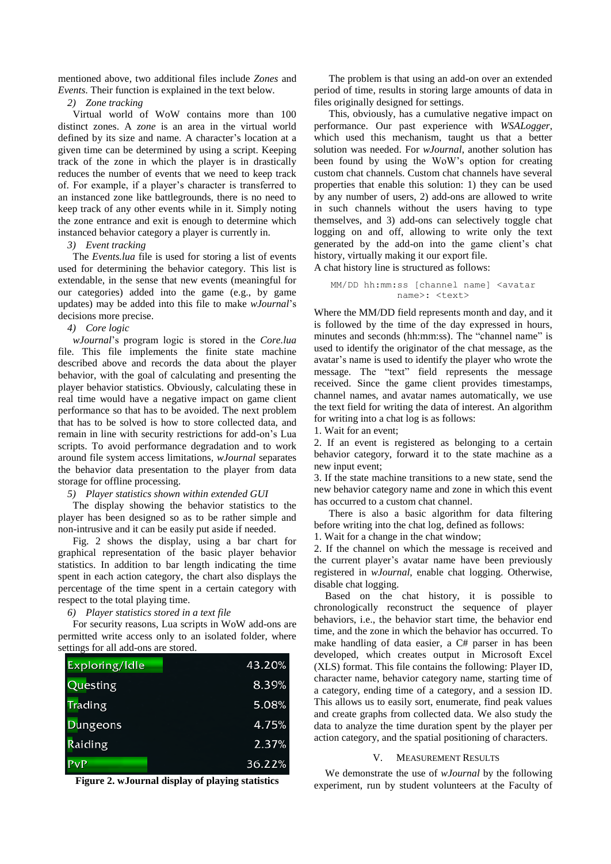mentioned above, two additional files include *Zones* and *Events*. Their function is explained in the text below.

*2) Zone tracking*

Virtual world of WoW contains more than 100 distinct zones. A *zone* is an area in the virtual world defined by its size and name. A character's location at a given time can be determined by using a script. Keeping track of the zone in which the player is in drastically reduces the number of events that we need to keep track of. For example, if a player's character is transferred to an instanced zone like battlegrounds, there is no need to keep track of any other events while in it. Simply noting the zone entrance and exit is enough to determine which instanced behavior category a player is currently in.

## *3) Event tracking*

The *Events.lua* file is used for storing a list of events used for determining the behavior category. This list is extendable, in the sense that new events (meaningful for our categories) added into the game (e.g., by game updates) may be added into this file to make *wJournal*'s decisions more precise.

# *4) Core logic*

*wJournal*'s program logic is stored in the *Core.lua* file. This file implements the finite state machine described above and records the data about the player behavior, with the goal of calculating and presenting the player behavior statistics. Obviously, calculating these in real time would have a negative impact on game client performance so that has to be avoided. The next problem that has to be solved is how to store collected data, and remain in line with security restrictions for add-on's Lua scripts. To avoid performance degradation and to work around file system access limitations, *wJournal* separates the behavior data presentation to the player from data storage for offline processing.

## *5) Player statistics shown within extended GUI*

The display showing the behavior statistics to the player has been designed so as to be rather simple and non-intrusive and it can be easily put aside if needed.

Fig. 2 shows the display, using a bar chart for graphical representation of the basic player behavior statistics. In addition to bar length indicating the time spent in each action category, the chart also displays the percentage of the time spent in a certain category with respect to the total playing time.

*6) Player statistics stored in a text file*

For security reasons, Lua scripts in WoW add-ons are permitted write access only to an isolated folder, where settings for all add-ons are stored.

| Exploring/Idle  | 43.20% |
|-----------------|--------|
| Questing        | 8.39%  |
| Trading         | 5.08%  |
| <b>Dungeons</b> | 4.75%  |
| Raiding         | 2.37%  |
| PvP             | 36.22% |

**Figure 2. wJournal display of playing statistics**

The problem is that using an add-on over an extended period of time, results in storing large amounts of data in files originally designed for settings.

This, obviously, has a cumulative negative impact on performance. Our past experience with *WSALogger*, which used this mechanism, taught us that a better solution was needed. For *wJournal*, another solution has been found by using the WoW's option for creating custom chat channels. Custom chat channels have several properties that enable this solution: 1) they can be used by any number of users, 2) add-ons are allowed to write in such channels without the users having to type themselves, and 3) add-ons can selectively toggle chat logging on and off, allowing to write only the text generated by the add-on into the game client's chat history, virtually making it our export file.

A chat history line is structured as follows:

MM/DD hh:mm:ss [channel name] <avatar name>: <text>

Where the MM/DD field represents month and day, and it is followed by the time of the day expressed in hours, minutes and seconds (hh:mm:ss). The "channel name" is used to identify the originator of the chat message, as the avatar's name is used to identify the player who wrote the message. The "text" field represents the message received. Since the game client provides timestamps, channel names, and avatar names automatically, we use the text field for writing the data of interest. An algorithm for writing into a chat log is as follows:

1. Wait for an event;

2. If an event is registered as belonging to a certain behavior category, forward it to the state machine as a new input event;

3. If the state machine transitions to a new state, send the new behavior category name and zone in which this event has occurred to a custom chat channel.

There is also a basic algorithm for data filtering before writing into the chat log, defined as follows:

1. Wait for a change in the chat window;

2. If the channel on which the message is received and the current player's avatar name have been previously registered in *wJournal*, enable chat logging. Otherwise, disable chat logging.

Based on the chat history, it is possible to chronologically reconstruct the sequence of player behaviors, i.e., the behavior start time, the behavior end time, and the zone in which the behavior has occurred. To make handling of data easier, a C# parser in has been developed, which creates output in Microsoft Excel (XLS) format. This file contains the following: Player ID, character name, behavior category name, starting time of a category, ending time of a category, and a session ID. This allows us to easily sort, enumerate, find peak values and create graphs from collected data. We also study the data to analyze the time duration spent by the player per action category, and the spatial positioning of characters.

## **MEASUREMENT RESULTS**

We demonstrate the use of *wJournal* by the following experiment, run by student volunteers at the Faculty of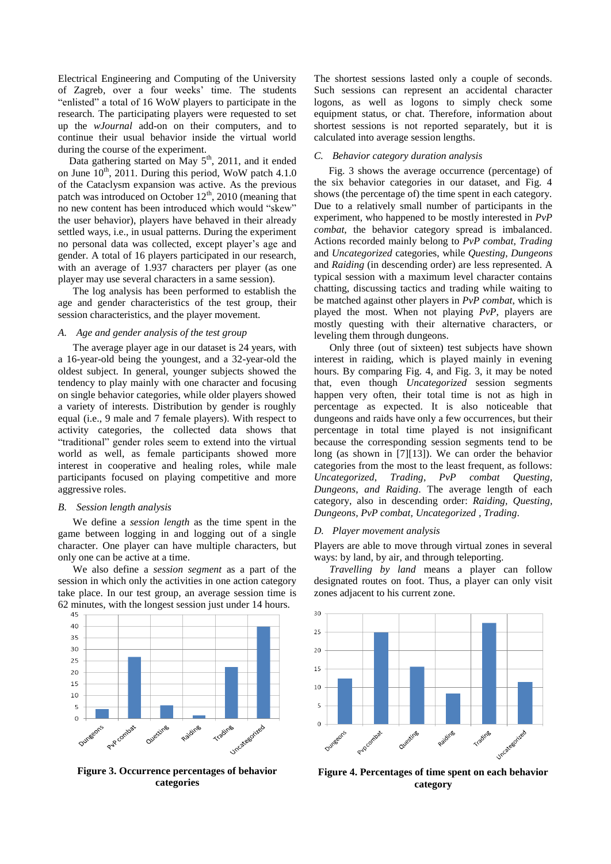Electrical Engineering and Computing of the University of Zagreb, over a four weeks' time. The students "enlisted" a total of 16 WoW players to participate in the research. The participating players were requested to set up the *wJournal* add-on on their computers, and to continue their usual behavior inside the virtual world during the course of the experiment.

Data gathering started on May  $5<sup>th</sup>$ , 2011, and it ended on June  $10^{th}$ , 2011. During this period, WoW patch 4.1.0 of the Cataclysm expansion was active. As the previous patch was introduced on October  $12<sup>th</sup>$ , 2010 (meaning that no new content has been introduced which would "skew" the user behavior), players have behaved in their already settled ways, i.e., in usual patterns. During the experiment no personal data was collected, except player's age and gender. A total of 16 players participated in our research, with an average of 1.937 characters per player (as one player may use several characters in a same session).

The log analysis has been performed to establish the age and gender characteristics of the test group, their session characteristics, and the player movement.

### *A. Age and gender analysis of the test group*

The average player age in our dataset is 24 years, with a 16-year-old being the youngest, and a 32-year-old the oldest subject. In general, younger subjects showed the tendency to play mainly with one character and focusing on single behavior categories, while older players showed a variety of interests. Distribution by gender is roughly equal (i.e., 9 male and 7 female players). With respect to activity categories, the collected data shows that "traditional" gender roles seem to extend into the virtual world as well, as female participants showed more interest in cooperative and healing roles, while male participants focused on playing competitive and more aggressive roles.

#### *B. Session length analysis*

We define a *session length* as the time spent in the game between logging in and logging out of a single character. One player can have multiple characters, but only one can be active at a time.

We also define a *session segment* as a part of the session in which only the activities in one action category take place. In our test group, an average session time is 62 minutes, with the longest session just under 14 hours.



**Figure 3. Occurrence percentages of behavior categories**

The shortest sessions lasted only a couple of seconds. Such sessions can represent an accidental character logons, as well as logons to simply check some equipment status, or chat. Therefore, information about shortest sessions is not reported separately, but it is calculated into average session lengths.

## *C. Behavior category duration analysis*

Fig. 3 shows the average occurrence (percentage) of the six behavior categories in our dataset, and Fig. 4 shows (the percentage of) the time spent in each category. Due to a relatively small number of participants in the experiment, who happened to be mostly interested in *PvP combat*, the behavior category spread is imbalanced. Actions recorded mainly belong to *PvP combat*, *Trading* and *Uncategorized* categories, while *Questing*, *Dungeons* and *Raiding* (in descending order) are less represented. A typical session with a maximum level character contains chatting, discussing tactics and trading while waiting to be matched against other players in *PvP combat*, which is played the most. When not playing *PvP*, players are mostly questing with their alternative characters, or leveling them through dungeons.

 Only three (out of sixteen) test subjects have shown interest in raiding, which is played mainly in evening hours. By comparing Fig. 4, and Fig. 3, it may be noted that, even though *Uncategorized* session segments happen very often, their total time is not as high in percentage as expected. It is also noticeable that dungeons and raids have only a few occurrences, but their percentage in total time played is not insignificant because the corresponding session segments tend to be long (as shown in [\[7\]\[13\]\)](#page-5-4). We can order the behavior categories from the most to the least frequent, as follows: *Uncategorized*, *Trading*, *PvP combat Questing*, *Dungeons*, *and Raiding*. The average length of each category, also in descending order: *Raiding, Questing, Dungeons, PvP combat, Uncategorized , Trading*.

#### *D. Player movement analysis*

Players are able to move through virtual zones in several ways: by land, by air, and through teleporting.

 *Travelling by land* means a player can follow designated routes on foot. Thus, a player can only visit zones adjacent to his current zone.



**Figure 4. Percentages of time spent on each behavior category**